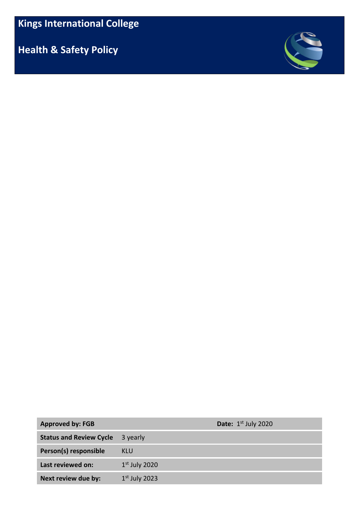**Health & Safety Policy**



| <b>Approved by: FGB</b>        |                 | <b>Date:</b> $1st$ July 2020 |
|--------------------------------|-----------------|------------------------------|
| <b>Status and Review Cycle</b> | 3 yearly        |                              |
| Person(s) responsible          | KLU             |                              |
| Last reviewed on:              | $1st$ July 2020 |                              |
| Next review due by:            | $1st$ July 2023 |                              |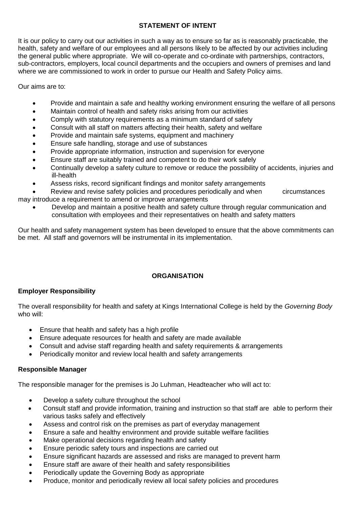## **STATEMENT OF INTENT**

It is our policy to carry out our activities in such a way as to ensure so far as is reasonably practicable, the health, safety and welfare of our employees and all persons likely to be affected by our activities including the general public where appropriate. We will co-operate and co-ordinate with partnerships, contractors, sub-contractors, employers, local council departments and the occupiers and owners of premises and land where we are commissioned to work in order to pursue our Health and Safety Policy aims.

Our aims are to:

- Provide and maintain a safe and healthy working environment ensuring the welfare of all persons
- Maintain control of health and safety risks arising from our activities
- Comply with statutory requirements as a minimum standard of safety
- Consult with all staff on matters affecting their health, safety and welfare
- Provide and maintain safe systems, equipment and machinery
- Ensure safe handling, storage and use of substances
- Provide appropriate information, instruction and supervision for everyone
- Ensure staff are suitably trained and competent to do their work safely
- Continually develop a safety culture to remove or reduce the possibility of accidents, injuries and ill-health
- Assess risks, record significant findings and monitor safety arrangements

 Review and revise safety policies and procedures periodically and when circumstances may introduce a requirement to amend or improve arrangements

 Develop and maintain a positive health and safety culture through regular communication and consultation with employees and their representatives on health and safety matters

Our health and safety management system has been developed to ensure that the above commitments can be met. All staff and governors will be instrumental in its implementation.

## **ORGANISATION**

### **Employer Responsibility**

The overall responsibility for health and safety at Kings International College is held by the *Governing Body* who will:

- Ensure that health and safety has a high profile
- Ensure adequate resources for health and safety are made available
- Consult and advise staff regarding health and safety requirements & arrangements
- Periodically monitor and review local health and safety arrangements

### **Responsible Manager**

The responsible manager for the premises is Jo Luhman, Headteacher who will act to:

- Develop a safety culture throughout the school
- Consult staff and provide information, training and instruction so that staff are able to perform their various tasks safely and effectively
- Assess and control risk on the premises as part of everyday management
- Ensure a safe and healthy environment and provide suitable welfare facilities
- Make operational decisions regarding health and safety
- Ensure periodic safety tours and inspections are carried out
- Ensure significant hazards are assessed and risks are managed to prevent harm
- Ensure staff are aware of their health and safety responsibilities
- Periodically update the Governing Body as appropriate
- Produce, monitor and periodically review all local safety policies and procedures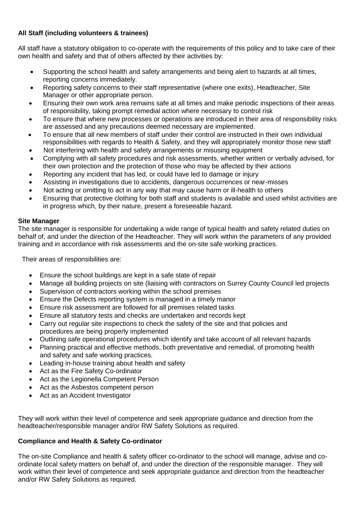## **All Staff (including volunteers & trainees)**

All staff have a statutory obligation to co-operate with the requirements of this policy and to take care of their own health and safety and that of others affected by their activities by:

- Supporting the school health and safety arrangements and being alert to hazards at all times, reporting concerns immediately.
- Reporting safety concerns to their staff representative (where one exits), Headteacher, Site Manager or other appropriate person.
- Ensuring their own work area remains safe at all times and make periodic inspections of their areas of responsibility, taking prompt remedial action where necessary to control risk
- To ensure that where new processes or operations are introduced in their area of responsibility risks are assessed and any precautions deemed necessary are implemented.
- To ensure that all new members of staff under their control are instructed in their own individual responsibilities with regards to Health & Safety, and they will appropriately monitor those new staff
- Not interfering with health and safety arrangements or misusing equipment
- Complying with all safety procedures and risk assessments, whether written or verbally advised, for their own protection and the protection of those who may be affected by their actions
- Reporting any incident that has led, or could have led to damage or injury
- Assisting in investigations due to accidents, dangerous occurrences or near-misses
- Not acting or omitting to act in any way that may cause harm or ill-health to others
- Ensuring that protective clothing for both staff and students is available and used whilst activities are in progress which, by their nature, present a foreseeable hazard.

## **Site Manager**

The site manager is responsible for undertaking a wide range of typical health and safety related duties on behalf of, and under the direction of the Headteacher. They will work within the parameters of any provided training and in accordance with risk assessments and the on-site safe working practices.

Their areas of responsibilities are:

- Ensure the school buildings are kept in a safe state of repair
- Manage all building projects on site (liaising with contractors on Surrey County Council led projects
- Supervision of contractors working within the school premises
- Ensure the Defects reporting system is managed in a timely manor
- Ensure risk assessment are followed for all premises related tasks
- Ensure all statutory tests and checks are undertaken and records kept
- Carry out regular site inspections to check the safety of the site and that policies and procedures are being properly implemented
- Outlining safe operational procedures which identify and take account of all relevant hazards
- Planning practical and effective methods, both preventative and remedial, of promoting health and safety and safe working practices.
- Leading in-house training about health and safety
- Act as the Fire Safety Co-ordinator
- Act as the Legionella Competent Person
- Act as the Asbestos competent person
- Act as an Accident Investigator

They will work within their level of competence and seek appropriate guidance and direction from the headteacher/responsible manager and/or RW Safety Solutions as required.

## **Compliance and Health & Safety Co-ordinator**

The on-site Compliance and health & safety officer co-ordinator to the school will manage, advise and coordinate local safety matters on behalf of, and under the direction of the responsible manager. They will work within their level of competence and seek appropriate guidance and direction from the headteacher and/or RW Safety Solutions as required.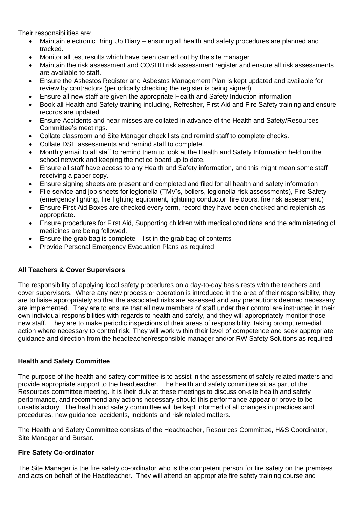Their responsibilities are:

- Maintain electronic Bring Up Diary ensuring all health and safety procedures are planned and tracked.
- Monitor all test results which have been carried out by the site manager
- Maintain the risk assessment and COSHH risk assessment register and ensure all risk assessments are available to staff.
- Ensure the Asbestos Register and Asbestos Management Plan is kept updated and available for review by contractors (periodically checking the register is being signed)
- Ensure all new staff are given the appropriate Health and Safety Induction information
- Book all Health and Safety training including, Refresher, First Aid and Fire Safety training and ensure records are updated
- Ensure Accidents and near misses are collated in advance of the Health and Safety/Resources Committee's meetings.
- Collate classroom and Site Manager check lists and remind staff to complete checks.
- Collate DSE assessments and remind staff to complete.
- Monthly email to all staff to remind them to look at the Health and Safety Information held on the school network and keeping the notice board up to date.
- Ensure all staff have access to any Health and Safety information, and this might mean some staff receiving a paper copy.
- Ensure signing sheets are present and completed and filed for all health and safety information
- File service and job sheets for legionella (TMV's, boilers, legionella risk assessments), Fire Safety (emergency lighting, fire fighting equipment, lightning conductor, fire doors, fire risk assessment.)
- Ensure First Aid Boxes are checked every term, record they have been checked and replenish as appropriate.
- Ensure procedures for First Aid, Supporting children with medical conditions and the administering of medicines are being followed.
- Ensure the grab bag is complete  $-$  list in the grab bag of contents
- Provide Personal Emergency Evacuation Plans as required

## **All Teachers & Cover Supervisors**

The responsibility of applying local safety procedures on a day-to-day basis rests with the teachers and cover supervisors. Where any new process or operation is introduced in the area of their responsibility, they are to liaise appropriately so that the associated risks are assessed and any precautions deemed necessary are implemented. They are to ensure that all new members of staff under their control are instructed in their own individual responsibilities with regards to health and safety, and they will appropriately monitor those new staff. They are to make periodic inspections of their areas of responsibility, taking prompt remedial action where necessary to control risk. They will work within their level of competence and seek appropriate guidance and direction from the headteacher/responsible manager and/or RW Safety Solutions as required.

### **Health and Safety Committee**

The purpose of the health and safety committee is to assist in the assessment of safety related matters and provide appropriate support to the headteacher. The health and safety committee sit as part of the Resources committee meeting. It is their duty at these meetings to discuss on-site health and safety performance, and recommend any actions necessary should this performance appear or prove to be unsatisfactory. The health and safety committee will be kept informed of all changes in practices and procedures, new guidance, accidents, incidents and risk related matters.

The Health and Safety Committee consists of the Headteacher, Resources Committee, H&S Coordinator, Site Manager and Bursar.

### **Fire Safety Co-ordinator**

The Site Manager is the fire safety co-ordinator who is the competent person for fire safety on the premises and acts on behalf of the Headteacher. They will attend an appropriate fire safety training course and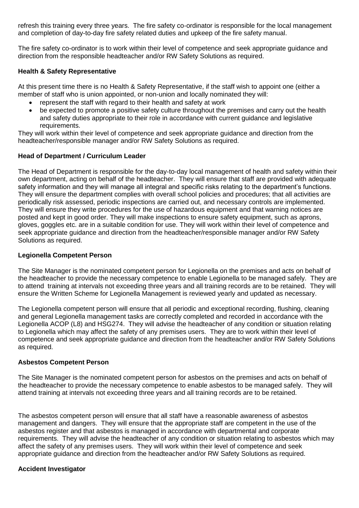refresh this training every three years. The fire safety co-ordinator is responsible for the local management and completion of day-to-day fire safety related duties and upkeep of the fire safety manual.

The fire safety co-ordinator is to work within their level of competence and seek appropriate guidance and direction from the responsible headteacher and/or RW Safety Solutions as required.

### **Health & Safety Representative**

At this present time there is no Health & Safety Representative, if the staff wish to appoint one (either a member of staff who is union appointed, or non-union and locally nominated they will:

- represent the staff with regard to their health and safety at work
- be expected to promote a positive safety culture throughout the premises and carry out the health and safety duties appropriate to their role in accordance with current guidance and legislative requirements.

They will work within their level of competence and seek appropriate guidance and direction from the headteacher/responsible manager and/or RW Safety Solutions as required.

### **Head of Department / Curriculum Leader**

The Head of Department is responsible for the day-to-day local management of health and safety within their own department, acting on behalf of the headteacher. They will ensure that staff are provided with adequate safety information and they will manage all integral and specific risks relating to the department's functions. They will ensure the department complies with overall school policies and procedures; that all activities are periodically risk assessed, periodic inspections are carried out, and necessary controls are implemented. They will ensure they write procedures for the use of hazardous equipment and that warning notices are posted and kept in good order. They will make inspections to ensure safety equipment, such as aprons, gloves, goggles etc. are in a suitable condition for use. They will work within their level of competence and seek appropriate guidance and direction from the headteacher/responsible manager and/or RW Safety Solutions as required.

#### **Legionella Competent Person**

The Site Manager is the nominated competent person for Legionella on the premises and acts on behalf of the headteacher to provide the necessary competence to enable Legionella to be managed safely. They are to attend training at intervals not exceeding three years and all training records are to be retained. They will ensure the Written Scheme for Legionella Management is reviewed yearly and updated as necessary.

The Legionella competent person will ensure that all periodic and exceptional recording, flushing, cleaning and general Legionella management tasks are correctly completed and recorded in accordance with the Legionella ACOP (L8) and HSG274. They will advise the headteacher of any condition or situation relating to Legionella which may affect the safety of any premises users. They are to work within their level of competence and seek appropriate guidance and direction from the headteacher and/or RW Safety Solutions as required.

### **Asbestos Competent Person**

The Site Manager is the nominated competent person for asbestos on the premises and acts on behalf of the headteacher to provide the necessary competence to enable asbestos to be managed safely. They will attend training at intervals not exceeding three years and all training records are to be retained.

The asbestos competent person will ensure that all staff have a reasonable awareness of asbestos management and dangers. They will ensure that the appropriate staff are competent in the use of the asbestos register and that asbestos is managed in accordance with departmental and corporate requirements. They will advise the headteacher of any condition or situation relating to asbestos which may affect the safety of any premises users. They will work within their level of competence and seek appropriate guidance and direction from the headteacher and/or RW Safety Solutions as required.

#### **Accident Investigator**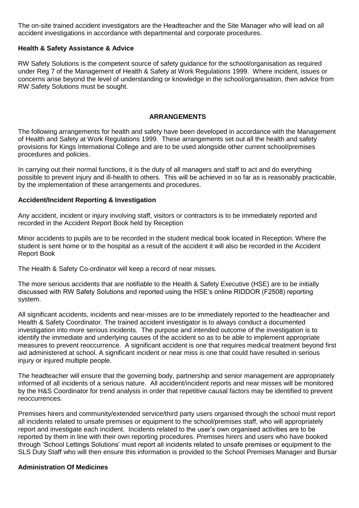The on-site trained accident investigators are the Headteacher and the Site Manager who will lead on all accident investigations in accordance with departmental and corporate procedures.

### **Health & Safety Assistance & Advice**

RW Safety Solutions is the competent source of safety guidance for the school/organisation as required under Reg 7 of the Management of Health & Safety at Work Regulations 1999. Where incident, issues or concerns arise beyond the level of understanding or knowledge in the school/organisation, then advice from RW Safety Solutions must be sought.

### **ARRANGEMENTS**

The following arrangements for health and safety have been developed in accordance with the Management of Health and Safety at Work Regulations 1999. These arrangements set out all the health and safety provisions for Kings International College and are to be used alongside other current school/premises procedures and policies.

In carrying out their normal functions, it is the duty of all managers and staff to act and do everything possible to prevent injury and ill-health to others. This will be achieved in so far as is reasonably practicable, by the implementation of these arrangements and procedures.

### **Accident/Incident Reporting & Investigation**

Any accident, incident or injury involving staff, visitors or contractors is to be immediately reported and recorded in the Accident Report Book held by Reception

Minor accidents to pupils are to be recorded in the student medical book located in Reception. Where the student is sent home or to the hospital as a result of the accident it will also be recorded in the Accident Report Book

The Health & Safety Co-ordinator will keep a record of near misses.

The more serious accidents that are notifiable to the Health & Safety Executive (HSE) are to be initially discussed with RW Safety Solutions and reported using the HSE's online RIDDOR (F2508) reporting system.

All significant accidents, incidents and near-misses are to be immediately reported to the headteacher and Health & Safety Coordinator. The trained accident investigator is to always conduct a documented investigation into more serious incidents. The purpose and intended outcome of the investigation is to identify the immediate and underlying causes of the accident so as to be able to implement appropriate measures to prevent reoccurrence. A significant accident is one that requires medical treatment beyond first aid administered at school. A significant incident or near miss is one that could have resulted in serious injury or injured multiple people.

The headteacher will ensure that the governing body, partnership and senior management are appropriately informed of all incidents of a serious nature. All accident/incident reports and near misses will be monitored by the H&S Coordinator for trend analysis in order that repetitive causal factors may be identified to prevent reoccurrences.

Premises hirers and community/extended service/third party users organised through the school must report all incidents related to unsafe premises or equipment to the school/premises staff, who will appropriately report and investigate each incident. Incidents related to the user's own organised activities are to be reported by them in line with their own reporting procedures. Premises hirers and users who have booked through 'School Lettings Solutions' must report all incidents related to unsafe premises or equipment to the SLS Duty Staff who will then ensure this information is provided to the School Premises Manager and Bursar

### **Administration Of Medicines**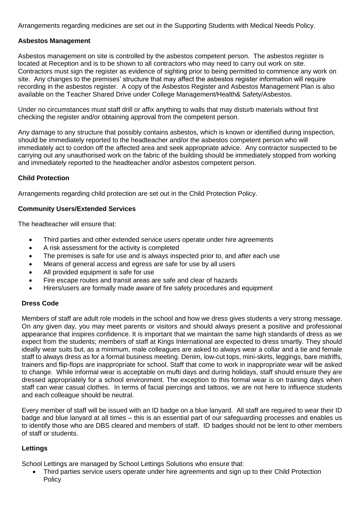Arrangements regarding medicines are set out in the Supporting Students with Medical Needs Policy.

### **Asbestos Management**

Asbestos management on site is controlled by the asbestos competent person. The asbestos register is located at Reception and is to be shown to all contractors who may need to carry out work on site. Contractors must sign the register as evidence of sighting prior to being permitted to commence any work on site. Any changes to the premises' structure that may affect the asbestos register information will require recording in the asbestos register. A copy of the Asbestos Register and Asbestos Management Plan is also available on the Teacher Shared Drive under College Management/Health& Safety/Asbestos.

Under no circumstances must staff drill or affix anything to walls that may disturb materials without first checking the register and/or obtaining approval from the competent person.

Any damage to any structure that possibly contains asbestos, which is known or identified during inspection, should be immediately reported to the headteacher and/or the asbestos competent person who will immediately act to cordon off the affected area and seek appropriate advice. Any contractor suspected to be carrying out any unauthorised work on the fabric of the building should be immediately stopped from working and immediately reported to the headteacher and/or asbestos competent person.

### **Child Protection**

Arrangements regarding child protection are set out in the Child Protection Policy.

#### **Community Users/Extended Services**

The headteacher will ensure that:

- Third parties and other extended service users operate under hire agreements
- A risk assessment for the activity is completed
- The premises is safe for use and is always inspected prior to, and after each use
- Means of general access and egress are safe for use by all users
- All provided equipment is safe for use
- Fire escape routes and transit areas are safe and clear of hazards
- Hirers/users are formally made aware of fire safety procedures and equipment

#### **Dress Code**

Members of staff are adult role models in the school and how we dress gives students a very strong message. On any given day, you may meet parents or visitors and should always present a positive and professional appearance that inspires confidence. It is important that we maintain the same high standards of dress as we expect from the students; members of staff at Kings International are expected to dress smartly. They should ideally wear suits but, as a minimum, male colleagues are asked to always wear a collar and a tie and female staff to always dress as for a formal business meeting. Denim, low-cut tops, mini-skirts, leggings, bare midriffs, trainers and flip-flops are inappropriate for school. Staff that come to work in inappropriate wear will be asked to change. While informal wear is acceptable on mufti days and during holidays, staff should ensure they are dressed appropriately for a school environment. The exception to this formal wear is on training days when staff can wear casual clothes. In terms of facial piercings and tattoos, we are not here to influence students and each colleague should be neutral.

Every member of staff will be issued with an ID badge on a blue lanyard. All staff are required to wear their ID badge and blue lanyard at all times – this is an essential part of our safeguarding processes and enables us to identify those who are DBS cleared and members of staff. ID badges should not be lent to other members of staff or students.

### **Lettings**

School Lettings are managed by School Lettings Solutions who ensure that:

 Third parties service users operate under hire agreements and sign up to their Child Protection **Policy**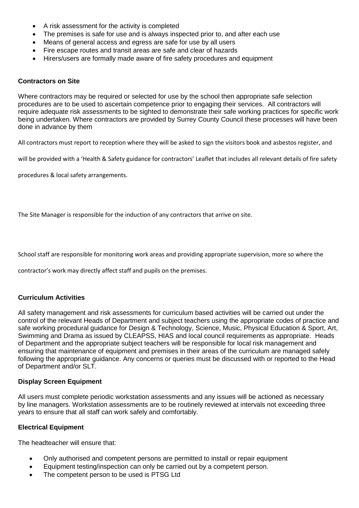- A risk assessment for the activity is completed
- The premises is safe for use and is always inspected prior to, and after each use
- Means of general access and egress are safe for use by all users
- Fire escape routes and transit areas are safe and clear of hazards
- Hirers/users are formally made aware of fire safety procedures and equipment

#### **Contractors on Site**

Where contractors may be required or selected for use by the school then appropriate safe selection procedures are to be used to ascertain competence prior to engaging their services. All contractors will require adequate risk assessments to be sighted to demonstrate their safe working practices for specific work being undertaken. Where contractors are provided by Surrey County Council these processes will have been done in advance by them

All contractors must report to reception where they will be asked to sign the visitors book and asbestos register, and

will be provided with a 'Health & Safety guidance for contractors' Leaflet that includes all relevant details of fire safety

procedures & local safety arrangements.

The Site Manager is responsible for the induction of any contractors that arrive on site.

School staff are responsible for monitoring work areas and providing appropriate supervision, more so where the

contractor's work may directly affect staff and pupils on the premises.

### **Curriculum Activities**

All safety management and risk assessments for curriculum based activities will be carried out under the control of the relevant Heads of Department and subject teachers using the appropriate codes of practice and safe working procedural guidance for Design & Technology, Science, Music, Physical Education & Sport, Art, Swimming and Drama as issued by CLEAPSS, HIAS and local council requirements as appropriate. Heads of Department and the appropriate subject teachers will be responsible for local risk management and ensuring that maintenance of equipment and premises in their areas of the curriculum are managed safely following the appropriate guidance. Any concerns or queries must be discussed with or reported to the Head of Department and/or SLT.

### **Display Screen Equipment**

All users must complete periodic workstation assessments and any issues will be actioned as necessary by line managers. Workstation assessments are to be routinely reviewed at intervals not exceeding three years to ensure that all staff can work safely and comfortably.

### **Electrical Equipment**

The headteacher will ensure that:

- Only authorised and competent persons are permitted to install or repair equipment
- Equipment testing/inspection can only be carried out by a competent person.
- The competent person to be used is PTSG Ltd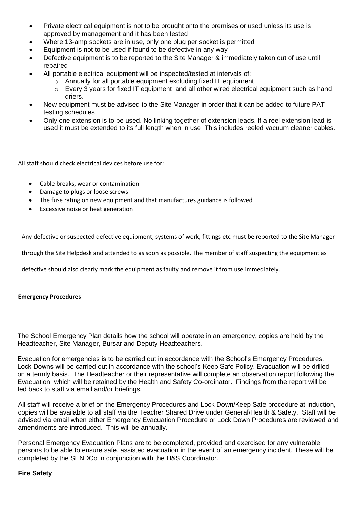- Private electrical equipment is not to be brought onto the premises or used unless its use is approved by management and it has been tested
- Where 13-amp sockets are in use, only one plug per socket is permitted
- Equipment is not to be used if found to be defective in any way
- Defective equipment is to be reported to the Site Manager & immediately taken out of use until repaired
- All portable electrical equipment will be inspected/tested at intervals of:
	- o Annually for all portable equipment excluding fixed IT equipment
	- o Every 3 years for fixed IT equipment and all other wired electrical equipment such as hand driers.
- New equipment must be advised to the Site Manager in order that it can be added to future PAT testing schedules
- Only one extension is to be used. No linking together of extension leads. If a reel extension lead is used it must be extended to its full length when in use. This includes reeled vacuum cleaner cables.

All staff should check electrical devices before use for:

- Cable breaks, wear or contamination
- Damage to plugs or loose screws
- The fuse rating on new equipment and that manufactures guidance is followed
- Excessive noise or heat generation

Any defective or suspected defective equipment, systems of work, fittings etc must be reported to the Site Manager

through the Site Helpdesk and attended to as soon as possible. The member of staff suspecting the equipment as

defective should also clearly mark the equipment as faulty and remove it from use immediately.

#### **Emergency Procedures**

.

The School Emergency Plan details how the school will operate in an emergency, copies are held by the Headteacher, Site Manager, Bursar and Deputy Headteachers.

Evacuation for emergencies is to be carried out in accordance with the School's Emergency Procedures. Lock Downs will be carried out in accordance with the school's Keep Safe Policy. Evacuation will be drilled on a termly basis. The Headteacher or their representative will complete an observation report following the Evacuation, which will be retained by the Health and Safety Co-ordinator. Findings from the report will be fed back to staff via email and/or briefings.

All staff will receive a brief on the Emergency Procedures and Lock Down/Keep Safe procedure at induction, copies will be available to all staff via the Teacher Shared Drive under General\Health & Safety. Staff will be advised via email when either Emergency Evacuation Procedure or Lock Down Procedures are reviewed and amendments are introduced. This will be annually.

Personal Emergency Evacuation Plans are to be completed, provided and exercised for any vulnerable persons to be able to ensure safe, assisted evacuation in the event of an emergency incident. These will be completed by the SENDCo in conjunction with the H&S Coordinator.

### **Fire Safety**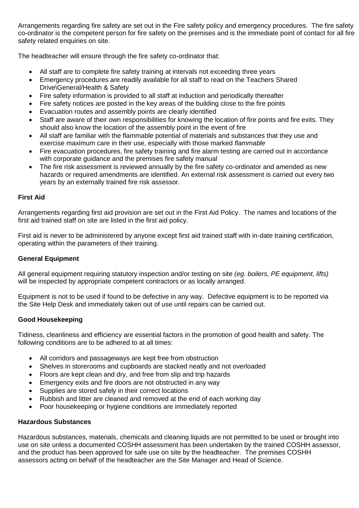Arrangements regarding fire safety are set out in the Fire safety policy and emergency procedures. The fire safety co-ordinator is the competent person for fire safety on the premises and is the immediate point of contact for all fire safety related enquiries on site.

The headteacher will ensure through the fire safety co-ordinator that:

- All staff are to complete fire safety training at intervals not exceeding three years
- Emergency procedures are readily available for all staff to read on the Teachers Shared Drive\General/Health & Safety
- Fire safety information is provided to all staff at induction and periodically thereafter
- Fire safety notices are posted in the key areas of the building close to the fire points
- Evacuation routes and assembly points are clearly identified
- Staff are aware of their own responsibilities for knowing the location of fire points and fire exits. They should also know the location of the assembly point in the event of fire
- All staff are familiar with the flammable potential of materials and substances that they use and exercise maximum care in their use, especially with those marked *flammable*
- Fire evacuation procedures, fire safety training and fire alarm testing are carried out in accordance with corporate guidance and the premises fire safety manual
- The fire risk assessment is reviewed annually by the fire safety co-ordinator and amended as new hazards or required amendments are identified. An external risk assessment is carried out every two years by an externally trained fire risk assessor.

#### **First Aid**

Arrangements regarding first aid provision are set out in the First Aid Policy. The names and locations of the first aid trained staff on site are listed in the first aid policy.

First aid is never to be administered by anyone except first aid trained staff with in-date training certification, operating within the parameters of their training.

### **General Equipment**

All general equipment requiring statutory inspection and/or testing on site *(eg. boilers, PE equipment, lifts)* will be inspected by appropriate competent contractors or as locally arranged.

Equipment is not to be used if found to be defective in any way. Defective equipment is to be reported via the Site Help Desk and immediately taken out of use until repairs can be carried out.

### **Good Housekeeping**

Tidiness, cleanliness and efficiency are essential factors in the promotion of good health and safety. The following conditions are to be adhered to at all times:

- All corridors and passageways are kept free from obstruction
- Shelves in storerooms and cupboards are stacked neatly and not overloaded
- Floors are kept clean and dry, and free from slip and trip hazards
- Emergency exits and fire doors are not obstructed in any way
- Supplies are stored safely in their correct locations
- Rubbish and litter are cleaned and removed at the end of each working day
- Poor housekeeping or hygiene conditions are immediately reported

### **Hazardous Substances**

Hazardous substances, materials, chemicals and cleaning liquids are not permitted to be used or brought into use on site unless a documented COSHH assessment has been undertaken by the trained COSHH assessor, and the product has been approved for safe use on site by the headteacher. The premises COSHH assessors acting on behalf of the headteacher are the Site Manager and Head of Science.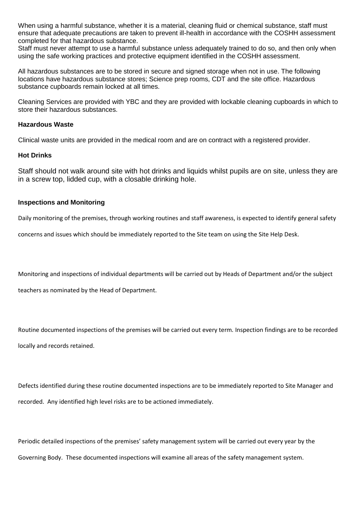When using a harmful substance, whether it is a material, cleaning fluid or chemical substance, staff must ensure that adequate precautions are taken to prevent ill-health in accordance with the COSHH assessment completed for that hazardous substance.

Staff must never attempt to use a harmful substance unless adequately trained to do so, and then only when using the safe working practices and protective equipment identified in the COSHH assessment.

All hazardous substances are to be stored in secure and signed storage when not in use. The following locations have hazardous substance stores; Science prep rooms, CDT and the site office. Hazardous substance cupboards remain locked at all times.

Cleaning Services are provided with YBC and they are provided with lockable cleaning cupboards in which to store their hazardous substances.

#### **Hazardous Waste**

Clinical waste units are provided in the medical room and are on contract with a registered provider.

#### **Hot Drinks**

Staff should not walk around site with hot drinks and liquids whilst pupils are on site, unless they are in a screw top, lidded cup, with a closable drinking hole.

#### **Inspections and Monitoring**

Daily monitoring of the premises, through working routines and staff awareness, is expected to identify general safety

concerns and issues which should be immediately reported to the Site team on using the Site Help Desk.

Monitoring and inspections of individual departments will be carried out by Heads of Department and/or the subject

teachers as nominated by the Head of Department.

Routine documented inspections of the premises will be carried out every term*.* Inspection findings are to be recorded locally and records retained.

Defects identified during these routine documented inspections are to be immediately reported to Site Manager and recorded. Any identified high level risks are to be actioned immediately.

Periodic detailed inspections of the premises' safety management system will be carried out every year by the Governing Body. These documented inspections will examine all areas of the safety management system.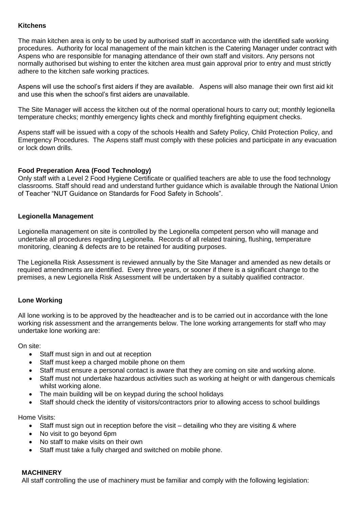### **Kitchens**

The main kitchen area is only to be used by authorised staff in accordance with the identified safe working procedures. Authority for local management of the main kitchen is the Catering Manager under contract with Aspens who are responsible for managing attendance of their own staff and visitors. Any persons not normally authorised but wishing to enter the kitchen area must gain approval prior to entry and must strictly adhere to the kitchen safe working practices.

Aspens will use the school's first aiders if they are available. Aspens will also manage their own first aid kit and use this when the school's first aiders are unavailable.

The Site Manager will access the kitchen out of the normal operational hours to carry out; monthly legionella temperature checks; monthly emergency lights check and monthly firefighting equipment checks.

Aspens staff will be issued with a copy of the schools Health and Safety Policy, Child Protection Policy, and Emergency Procedures. The Aspens staff must comply with these policies and participate in any evacuation or lock down drills.

### **Food Preperation Area (Food Technology)**

Only staff with a Level 2 Food Hygiene Certificate or qualified teachers are able to use the food technology classrooms. Staff should read and understand further guidance which is available through the National Union of Teacher "NUT Guidance on Standards for Food Safety in Schools".

#### **Legionella Management**

Legionella management on site is controlled by the Legionella competent person who will manage and undertake all procedures regarding Legionella. Records of all related training, flushing, temperature monitoring, cleaning & defects are to be retained for auditing purposes.

The Legionella Risk Assessment is reviewed annually by the Site Manager and amended as new details or required amendments are identified. Every three years, or sooner if there is a significant change to the premises, a new Legionella Risk Assessment will be undertaken by a suitably qualified contractor.

### **Lone Working**

All lone working is to be approved by the headteacher and is to be carried out in accordance with the lone working risk assessment and the arrangements below. The lone working arrangements for staff who may undertake lone working are:

On site:

- Staff must sign in and out at reception
- Staff must keep a charged mobile phone on them
- Staff must ensure a personal contact is aware that they are coming on site and working alone.
- Staff must not undertake hazardous activities such as working at height or with dangerous chemicals whilst working alone.
- The main building will be on keypad during the school holidays
- Staff should check the identity of visitors/contractors prior to allowing access to school buildings

Home Visits:

- Staff must sign out in reception before the visit detailing who they are visiting & where
- No visit to go beyond 6pm
- No staff to make visits on their own
- Staff must take a fully charged and switched on mobile phone.

### **MACHINERY**

All staff controlling the use of machinery must be familiar and comply with the following legislation: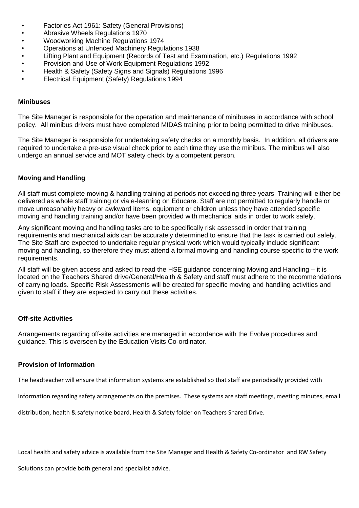- Factories Act 1961: Safety (General Provisions)
- Abrasive Wheels Regulations 1970
- Woodworking Machine Regulations 1974
- Operations at Unfenced Machinery Regulations 1938
- Lifting Plant and Equipment (Records of Test and Examination, etc.) Regulations 1992<br>• Provision and Use of Work Equipment Requlations 1992
- Provision and Use of Work Equipment Regulations 1992
- Health & Safety (Safety Signs and Signals) Regulations 1996
- Electrical Equipment (Safety) Regulations 1994

#### **Minibuses**

The Site Manager is responsible for the operation and maintenance of minibuses in accordance with school policy. All minibus drivers must have completed MIDAS training prior to being permitted to drive minibuses.

The Site Manager is responsible for undertaking safety checks on a monthly basis. In addition, all drivers are required to undertake a pre-use visual check prior to each time they use the minibus. The minibus will also undergo an annual service and MOT safety check by a competent person.

### **Moving and Handling**

All staff must complete moving & handling training at periods not exceeding three years. Training will either be delivered as whole staff training or via e-learning on Educare. Staff are not permitted to regularly handle or move unreasonably heavy or awkward items, equipment or children unless they have attended specific moving and handling training and/or have been provided with mechanical aids in order to work safely.

Any significant moving and handling tasks are to be specifically risk assessed in order that training requirements and mechanical aids can be accurately determined to ensure that the task is carried out safely. The Site Staff are expected to undertake regular physical work which would typically include significant moving and handling, so therefore they must attend a formal moving and handling course specific to the work requirements.

All staff will be given access and asked to read the HSE guidance concerning Moving and Handling – it is located on the Teachers Shared drive/General/Health & Safety and staff must adhere to the recommendations of carrying loads. Specific Risk Assessments will be created for specific moving and handling activities and given to staff if they are expected to carry out these activities.

#### **Off-site Activities**

Arrangements regarding off-site activities are managed in accordance with the Evolve procedures and guidance. This is overseen by the Education Visits Co-ordinator.

#### **Provision of Information**

The headteacher will ensure that information systems are established so that staff are periodically provided with

information regarding safety arrangements on the premises. These systems are staff meetings, meeting minutes, email

distribution, health & safety notice board, Health & Safety folder on Teachers Shared Drive.

Local health and safety advice is available from the Site Manager and Health & Safety Co-ordinator and RW Safety

Solutions can provide both general and specialist advice.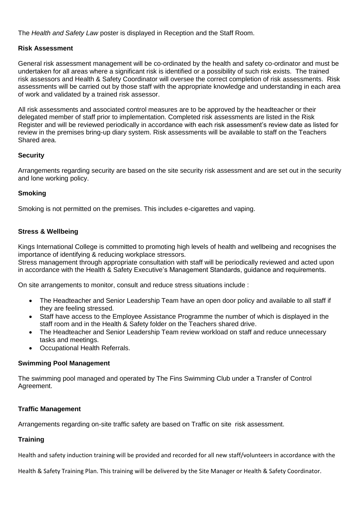The *Health and Safety Law* poster is displayed in Reception and the Staff Room.

## **Risk Assessment**

General risk assessment management will be co-ordinated by the health and safety co-ordinator and must be undertaken for all areas where a significant risk is identified or a possibility of such risk exists. The trained risk assessors and Health & Safety Coordinator will oversee the correct completion of risk assessments. Risk assessments will be carried out by those staff with the appropriate knowledge and understanding in each area of work and validated by a trained risk assessor.

All risk assessments and associated control measures are to be approved by the headteacher or their delegated member of staff prior to implementation. Completed risk assessments are listed in the Risk Register and will be reviewed periodically in accordance with each risk assessment's review date as listed for review in the premises bring-up diary system. Risk assessments will be available to staff on the Teachers Shared area.

## **Security**

Arrangements regarding security are based on the site security risk assessment and are set out in the security and lone working policy.

## **Smoking**

Smoking is not permitted on the premises. This includes e-cigarettes and vaping.

## **Stress & Wellbeing**

Kings International College is committed to promoting high levels of health and wellbeing and recognises the importance of identifying & reducing workplace stressors.

Stress management through appropriate consultation with staff will be periodically reviewed and acted upon in accordance with the Health & Safety Executive's Management Standards, guidance and requirements.

On site arrangements to monitor, consult and reduce stress situations include :

- The Headteacher and Senior Leadership Team have an open door policy and available to all staff if they are feeling stressed.
- Staff have access to the Employee Assistance Programme the number of which is displayed in the staff room and in the Health & Safety folder on the Teachers shared drive.
- The Headteacher and Senior Leadership Team review workload on staff and reduce unnecessary tasks and meetings.
- Occupational Health Referrals.

### **Swimming Pool Management**

The swimming pool managed and operated by The Fins Swimming Club under a Transfer of Control Agreement.

## **Traffic Management**

Arrangements regarding on-site traffic safety are based on Traffic on site risk assessment.

# **Training**

Health and safety induction training will be provided and recorded for all new staff/volunteers in accordance with the

Health & Safety Training Plan. This training will be delivered by the Site Manager or Health & Safety Coordinator.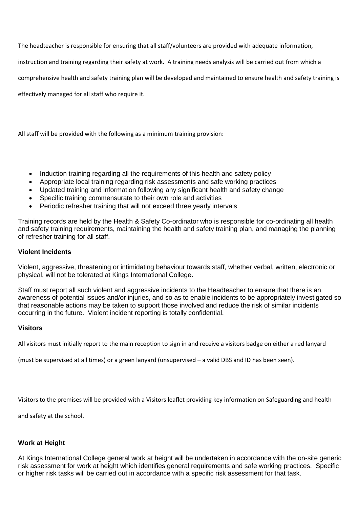The headteacher is responsible for ensuring that all staff/volunteers are provided with adequate information,

instruction and training regarding their safety at work. A training needs analysis will be carried out from which a

comprehensive health and safety training plan will be developed and maintained to ensure health and safety training is

effectively managed for all staff who require it.

All staff will be provided with the following as a minimum training provision:

- Induction training regarding all the requirements of this health and safety policy
- Appropriate local training regarding risk assessments and safe working practices
- Updated training and information following any significant health and safety change
- Specific training commensurate to their own role and activities
- Periodic refresher training that will not exceed three yearly intervals

Training records are held by the Health & Safety Co-ordinator who is responsible for co-ordinating all health and safety training requirements, maintaining the health and safety training plan, and managing the planning of refresher training for all staff.

#### **Violent Incidents**

Violent, aggressive, threatening or intimidating behaviour towards staff, whether verbal, written, electronic or physical, will not be tolerated at Kings International College.

Staff must report all such violent and aggressive incidents to the Headteacher to ensure that there is an awareness of potential issues and/or injuries, and so as to enable incidents to be appropriately investigated so that reasonable actions may be taken to support those involved and reduce the risk of similar incidents occurring in the future. Violent incident reporting is totally confidential.

#### **Visitors**

All visitors must initially report to the main reception to sign in and receive a visitors badge on either a red lanyard

(must be supervised at all times) or a green lanyard (unsupervised – a valid DBS and ID has been seen).

Visitors to the premises will be provided with a Visitors leaflet providing key information on Safeguarding and health

and safety at the school.

#### **Work at Height**

At Kings International College general work at height will be undertaken in accordance with the on-site generic risk assessment for work at height which identifies general requirements and safe working practices. Specific or higher risk tasks will be carried out in accordance with a specific risk assessment for that task.